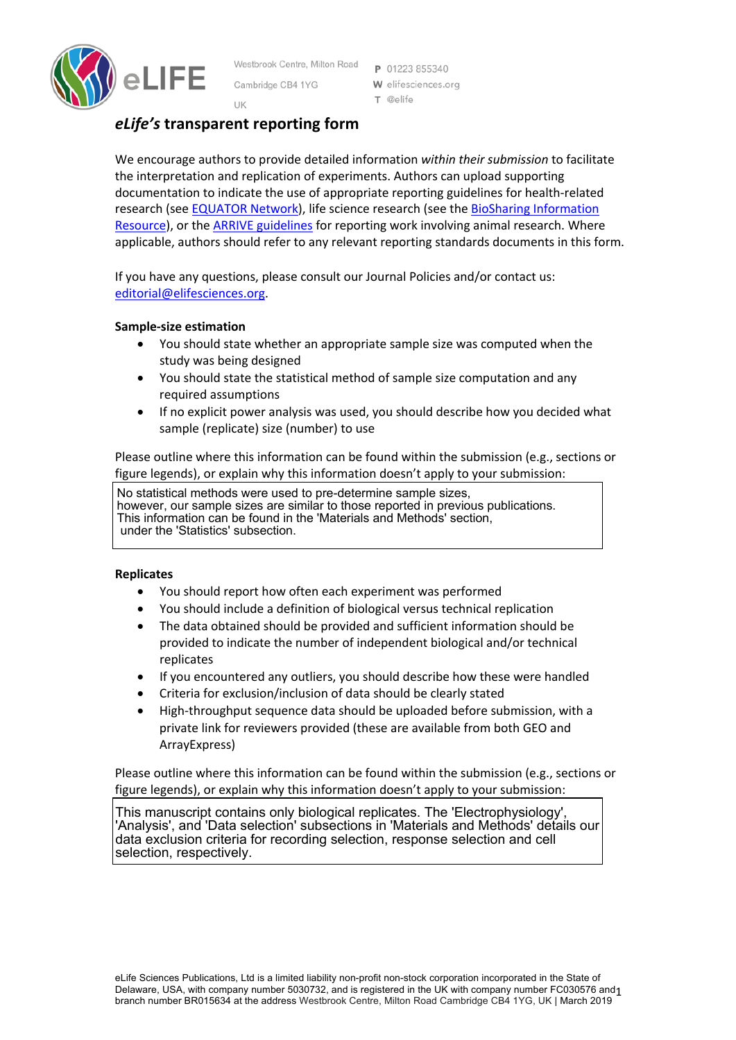

Westbrook Centre, Milton Road Cambridge CB4 1YG

P 01223 855340 W elifesciences.org T @elife

# UK *eLife's* **transparent reporting form**

We encourage authors to provide detailed information *within their submission* to facilitate the interpretation and replication of experiments. Authors can upload supporting documentation to indicate the use of appropriate reporting guidelines for health-related research (see EQUATOR Network), life science research (see the BioSharing Information Resource), or the ARRIVE guidelines for reporting work involving animal research. Where applicable, authors should refer to any relevant reporting standards documents in this form.

If you have any questions, please consult our Journal Policies and/or contact us: editorial@elifesciences.org.

### **Sample-size estimation**

- You should state whether an appropriate sample size was computed when the study was being designed
- You should state the statistical method of sample size computation and any required assumptions
- If no explicit power analysis was used, you should describe how you decided what sample (replicate) size (number) to use

Please outline where this information can be found within the submission (e.g., sections or figure legends), or explain why this information doesn't apply to your submission:

No statistical methods were used to pre-determine sample sizes, however, our sample sizes are similar to those reported in previous publications. This information can be found in the 'Materials and Methods' section, under the 'Statistics' subsection.

### **Replicates**

- You should report how often each experiment was performed
- You should include a definition of biological versus technical replication
- The data obtained should be provided and sufficient information should be provided to indicate the number of independent biological and/or technical replicates
- If you encountered any outliers, you should describe how these were handled
- Criteria for exclusion/inclusion of data should be clearly stated
- High-throughput sequence data should be uploaded before submission, with a private link for reviewers provided (these are available from both GEO and ArrayExpress)

Please outline where this information can be found within the submission (e.g., sections or figure legends), or explain why this information doesn't apply to your submission:

This manuscript contains only biological replicates. The 'Electrophysiology', 'Analysis', and 'Data selection' subsections in 'Materials and Methods' details our data exclusion criteria for recording selection, response selection and cell selection, respectively.